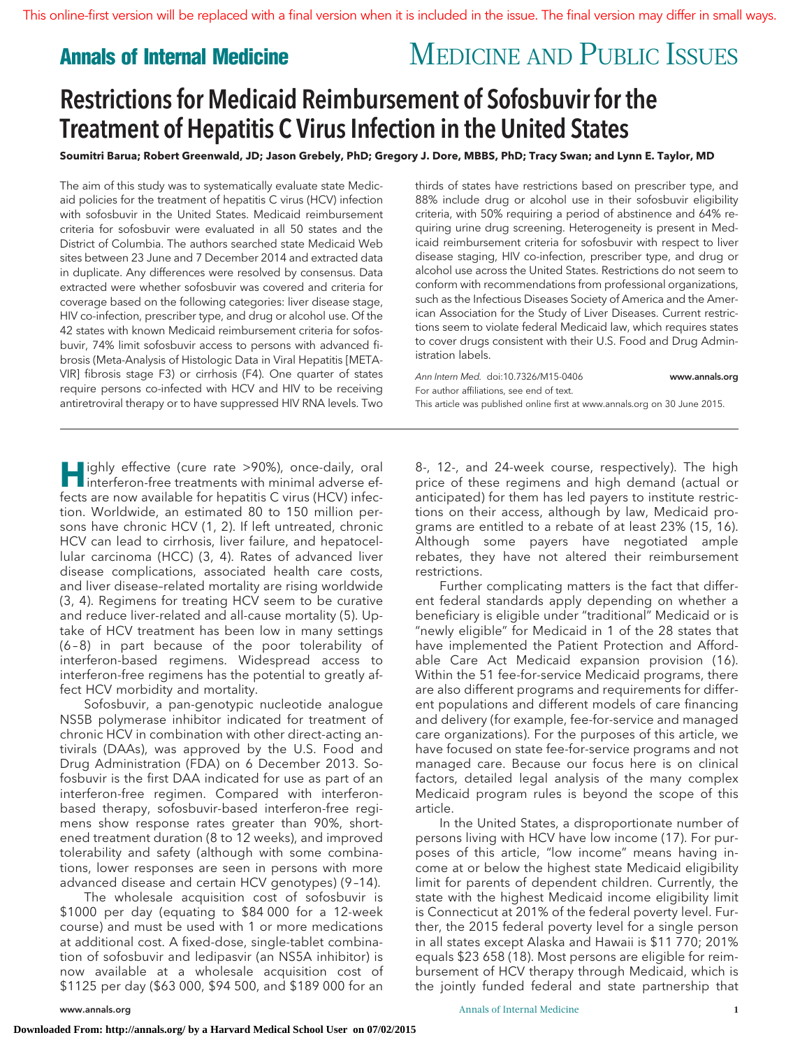# **Annals of Internal Medicine** MEDICINE AND PUBLIC ISSUES

# Restrictions for Medicaid Reimbursement of Sofosbuvir for the Treatment of Hepatitis C Virus Infection in the United States

**Soumitri Barua; Robert Greenwald, JD; Jason Grebely, PhD; Gregory J. Dore, MBBS, PhD; Tracy Swan; and Lynn E. Taylor, MD**

The aim of this study was to systematically evaluate state Medicaid policies for the treatment of hepatitis C virus (HCV) infection with sofosbuvir in the United States. Medicaid reimbursement criteria for sofosbuvir were evaluated in all 50 states and the District of Columbia. The authors searched state Medicaid Web sites between 23 June and 7 December 2014 and extracted data in duplicate. Any differences were resolved by consensus. Data extracted were whether sofosbuvir was covered and criteria for coverage based on the following categories: liver disease stage, HIV co-infection, prescriber type, and drug or alcohol use. Of the 42 states with known Medicaid reimbursement criteria for sofosbuvir, 74% limit sofosbuvir access to persons with advanced fibrosis (Meta-Analysis of Histologic Data in Viral Hepatitis [META-VIR] fibrosis stage F3) or cirrhosis (F4). One quarter of states require persons co-infected with HCV and HIV to be receiving antiretroviral therapy or to have suppressed HIV RNA levels. Two

thirds of states have restrictions based on prescriber type, and 88% include drug or alcohol use in their sofosbuvir eligibility criteria, with 50% requiring a period of abstinence and 64% requiring urine drug screening. Heterogeneity is present in Medicaid reimbursement criteria for sofosbuvir with respect to liver disease staging, HIV co-infection, prescriber type, and drug or alcohol use across the United States. Restrictions do not seem to conform with recommendations from professional organizations, such as the Infectious Diseases Society of America and the American Association for the Study of Liver Diseases. Current restrictions seem to violate federal Medicaid law, which requires states to cover drugs consistent with their U.S. Food and Drug Administration labels.

Ann Intern Med. doi:10.7326/M15-0406 www.annals.org For author affiliations, see end of text. This article was published online first at [www.annals.org](http://www.annals.org) on 30 June 2015.

**H**ighly effective (cure rate >90%), once-daily, oral<br>interferon-free treatments with minimal adverse effects are now available for hepatitis C virus (HCV) infection. Worldwide, an estimated 80 to 150 million persons have chronic HCV (1, 2). If left untreated, chronic HCV can lead to cirrhosis, liver failure, and hepatocellular carcinoma (HCC) (3, 4). Rates of advanced liver disease complications, associated health care costs, and liver disease–related mortality are rising worldwide (3, 4). Regimens for treating HCV seem to be curative and reduce liver-related and all-cause mortality (5). Uptake of HCV treatment has been low in many settings (6 – 8) in part because of the poor tolerability of interferon-based regimens. Widespread access to interferon-free regimens has the potential to greatly affect HCV morbidity and mortality.

Sofosbuvir, a pan-genotypic nucleotide analogue NS5B polymerase inhibitor indicated for treatment of chronic HCV in combination with other direct-acting antivirals (DAAs), was approved by the U.S. Food and Drug Administration (FDA) on 6 December 2013. Sofosbuvir is the first DAA indicated for use as part of an interferon-free regimen. Compared with interferonbased therapy, sofosbuvir-based interferon-free regimens show response rates greater than 90%, shortened treatment duration (8 to 12 weeks), and improved tolerability and safety (although with some combinations, lower responses are seen in persons with more advanced disease and certain HCV genotypes) (9 –14).

The wholesale acquisition cost of sofosbuvir is \$1000 per day (equating to \$84 000 for a 12-week course) and must be used with 1 or more medications at additional cost. A fixed-dose, single-tablet combination of sofosbuvir and ledipasvir (an NS5A inhibitor) is now available at a wholesale acquisition cost of \$1125 per day (\$63 000, \$94 500, and \$189 000 for an

**Downloaded From: http://annals.org/ by a Harvard Medical School User on 07/02/2015**

8-, 12-, and 24-week course, respectively). The high price of these regimens and high demand (actual or anticipated) for them has led payers to institute restrictions on their access, although by law, Medicaid programs are entitled to a rebate of at least 23% (15, 16). Although some payers have negotiated ample rebates, they have not altered their reimbursement restrictions.

Further complicating matters is the fact that different federal standards apply depending on whether a beneficiary is eligible under "traditional" Medicaid or is "newly eligible" for Medicaid in 1 of the 28 states that have implemented the Patient Protection and Affordable Care Act Medicaid expansion provision (16). Within the 51 fee-for-service Medicaid programs, there are also different programs and requirements for different populations and different models of care financing and delivery (for example, fee-for-service and managed care organizations). For the purposes of this article, we have focused on state fee-for-service programs and not managed care. Because our focus here is on clinical factors, detailed legal analysis of the many complex Medicaid program rules is beyond the scope of this article.

In the United States, a disproportionate number of persons living with HCV have low income (17). For purposes of this article, "low income" means having income at or below the highest state Medicaid eligibility limit for parents of dependent children. Currently, the state with the highest Medicaid income eligibility limit is Connecticut at 201% of the federal poverty level. Further, the 2015 federal poverty level for a single person in all states except Alaska and Hawaii is \$11 770; 201% equals \$23 658 (18). Most persons are eligible for reimbursement of HCV therapy through Medicaid, which is the jointly funded federal and state partnership that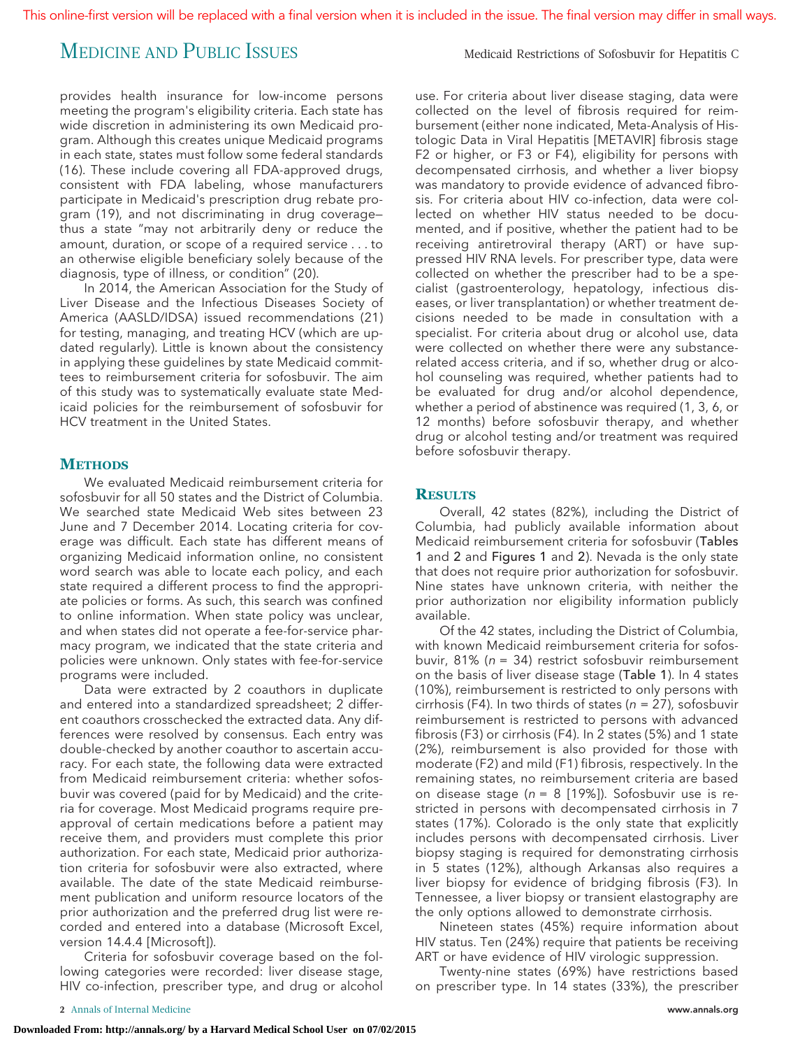provides health insurance for low-income persons meeting the program's eligibility criteria. Each state has wide discretion in administering its own Medicaid program. Although this creates unique Medicaid programs in each state, states must follow some federal standards (16). These include covering all FDA-approved drugs, consistent with FDA labeling, whose manufacturers participate in Medicaid's prescription drug rebate program (19), and not discriminating in drug coverage thus a state "may not arbitrarily deny or reduce the amount, duration, or scope of a required service . . . to an otherwise eligible beneficiary solely because of the diagnosis, type of illness, or condition" (20).

In 2014, the American Association for the Study of Liver Disease and the Infectious Diseases Society of America (AASLD/IDSA) issued recommendations (21) for testing, managing, and treating HCV (which are updated regularly). Little is known about the consistency in applying these guidelines by state Medicaid committees to reimbursement criteria for sofosbuvir. The aim of this study was to systematically evaluate state Medicaid policies for the reimbursement of sofosbuvir for HCV treatment in the United States.

### **METHODS**

We evaluated Medicaid reimbursement criteria for sofosbuvir for all 50 states and the District of Columbia. We searched state Medicaid Web sites between 23 June and 7 December 2014. Locating criteria for coverage was difficult. Each state has different means of organizing Medicaid information online, no consistent word search was able to locate each policy, and each state required a different process to find the appropriate policies or forms. As such, this search was confined to online information. When state policy was unclear, and when states did not operate a fee-for-service pharmacy program, we indicated that the state criteria and policies were unknown. Only states with fee-for-service programs were included.

Data were extracted by 2 coauthors in duplicate and entered into a standardized spreadsheet; 2 different coauthors crosschecked the extracted data. Any differences were resolved by consensus. Each entry was double-checked by another coauthor to ascertain accuracy. For each state, the following data were extracted from Medicaid reimbursement criteria: whether sofosbuvir was covered (paid for by Medicaid) and the criteria for coverage. Most Medicaid programs require preapproval of certain medications before a patient may receive them, and providers must complete this prior authorization. For each state, Medicaid prior authorization criteria for sofosbuvir were also extracted, where available. The date of the state Medicaid reimbursement publication and uniform resource locators of the prior authorization and the preferred drug list were recorded and entered into a database (Microsoft Excel, version 14.4.4 [Microsoft]).

Criteria for sofosbuvir coverage based on the following categories were recorded: liver disease stage, HIV co-infection, prescriber type, and drug or alcohol

use. For criteria about liver disease staging, data were collected on the level of fibrosis required for reimbursement (either none indicated, Meta-Analysis of Histologic Data in Viral Hepatitis [METAVIR] fibrosis stage F2 or higher, or F3 or F4), eligibility for persons with decompensated cirrhosis, and whether a liver biopsy was mandatory to provide evidence of advanced fibrosis. For criteria about HIV co-infection, data were collected on whether HIV status needed to be documented, and if positive, whether the patient had to be receiving antiretroviral therapy (ART) or have suppressed HIV RNA levels. For prescriber type, data were collected on whether the prescriber had to be a specialist (gastroenterology, hepatology, infectious diseases, or liver transplantation) or whether treatment decisions needed to be made in consultation with a specialist. For criteria about drug or alcohol use, data were collected on whether there were any substancerelated access criteria, and if so, whether drug or alcohol counseling was required, whether patients had to be evaluated for drug and/or alcohol dependence, whether a period of abstinence was required (1, 3, 6, or 12 months) before sofosbuvir therapy, and whether drug or alcohol testing and/or treatment was required before sofosbuvir therapy.

### **RESULTS**

Overall, 42 states (82%), including the District of Columbia, had publicly available information about Medicaid reimbursement criteria for sofosbuvir (Tables 1 and 2 and Figures 1 and 2). Nevada is the only state that does not require prior authorization for sofosbuvir. Nine states have unknown criteria, with neither the prior authorization nor eligibility information publicly available.

Of the 42 states, including the District of Columbia, with known Medicaid reimbursement criteria for sofosbuvir, 81% ( $n = 34$ ) restrict sofosbuvir reimbursement on the basis of liver disease stage (Table 1). In 4 states (10%), reimbursement is restricted to only persons with cirrhosis (F4). In two thirds of states ( $n = 27$ ), sofosbuvir reimbursement is restricted to persons with advanced fibrosis (F3) or cirrhosis (F4). In 2 states (5%) and 1 state (2%), reimbursement is also provided for those with moderate (F2) and mild (F1) fibrosis, respectively. In the remaining states, no reimbursement criteria are based on disease stage ( $n = 8$  [19%]). Sofosbuvir use is restricted in persons with decompensated cirrhosis in 7 states (17%). Colorado is the only state that explicitly includes persons with decompensated cirrhosis. Liver biopsy staging is required for demonstrating cirrhosis in 5 states (12%), although Arkansas also requires a liver biopsy for evidence of bridging fibrosis (F3). In Tennessee, a liver biopsy or transient elastography are the only options allowed to demonstrate cirrhosis.

Nineteen states (45%) require information about HIV status. Ten (24%) require that patients be receiving ART or have evidence of HIV virologic suppression.

Twenty-nine states (69%) have restrictions based on prescriber type. In 14 states (33%), the prescriber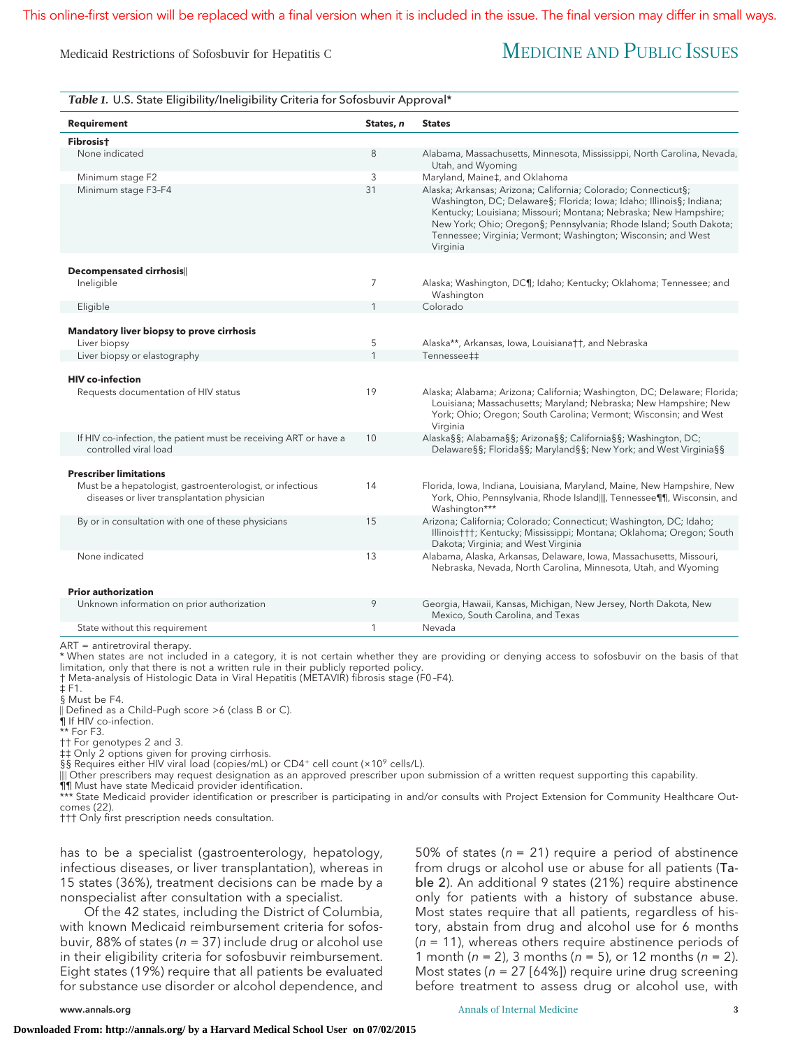Table 1. U.S. State Eligibility/Ineligibility Criteria for Sofosbuvir Approval\*

| <b>Requirement</b>                                                                                       | States, n      | <b>States</b>                                                                                                                                                                                                                                                                                                                                                 |
|----------------------------------------------------------------------------------------------------------|----------------|---------------------------------------------------------------------------------------------------------------------------------------------------------------------------------------------------------------------------------------------------------------------------------------------------------------------------------------------------------------|
| Fibrosist                                                                                                |                |                                                                                                                                                                                                                                                                                                                                                               |
| None indicated                                                                                           | 8              | Alabama, Massachusetts, Minnesota, Mississippi, North Carolina, Nevada,<br>Utah, and Wyoming                                                                                                                                                                                                                                                                  |
| Minimum stage F2                                                                                         | 3              | Maryland, Maine‡, and Oklahoma                                                                                                                                                                                                                                                                                                                                |
| Minimum stage F3-F4                                                                                      | 31             | Alaska; Arkansas; Arizona; California; Colorado; Connecticut§;<br>Washington, DC; Delaware§; Florida; Iowa; Idaho; Illinois§; Indiana;<br>Kentucky; Louisiana; Missouri; Montana; Nebraska; New Hampshire;<br>New York; Ohio; Oregon§; Pennsylvania; Rhode Island; South Dakota;<br>Tennessee; Virginia; Vermont; Washington; Wisconsin; and West<br>Virginia |
| Decompensated cirrhosis                                                                                  |                |                                                                                                                                                                                                                                                                                                                                                               |
| Ineligible                                                                                               | $\overline{7}$ | Alaska; Washington, DC¶; Idaho; Kentucky; Oklahoma; Tennessee; and<br>Washington                                                                                                                                                                                                                                                                              |
| Eligible                                                                                                 | $\mathbf{1}$   | Colorado                                                                                                                                                                                                                                                                                                                                                      |
|                                                                                                          |                |                                                                                                                                                                                                                                                                                                                                                               |
| Mandatory liver biopsy to prove cirrhosis<br>Liver biopsy                                                | 5              | Alaska**, Arkansas, Iowa, Louisiana††, and Nebraska                                                                                                                                                                                                                                                                                                           |
| Liver biopsy or elastography                                                                             | $\mathbf{1}$   | Tennessee‡‡                                                                                                                                                                                                                                                                                                                                                   |
|                                                                                                          |                |                                                                                                                                                                                                                                                                                                                                                               |
| <b>HIV</b> co-infection                                                                                  |                |                                                                                                                                                                                                                                                                                                                                                               |
| Requests documentation of HIV status                                                                     | 19             | Alaska; Alabama; Arizona; California; Washington, DC; Delaware; Florida;<br>Louisiana; Massachusetts; Maryland; Nebraska; New Hampshire; New<br>York; Ohio; Oregon; South Carolina; Vermont; Wisconsin; and West<br>Virginia                                                                                                                                  |
| If HIV co-infection, the patient must be receiving ART or have a<br>controlled viral load                | 10             | Alaska§§; Alabama§§; Arizona§§; California§§; Washington, DC;<br>Delaware§§; Florida§§; Maryland§§; New York; and West Virginia§§                                                                                                                                                                                                                             |
| <b>Prescriber limitations</b>                                                                            |                |                                                                                                                                                                                                                                                                                                                                                               |
| Must be a hepatologist, gastroenterologist, or infectious<br>diseases or liver transplantation physician | 14             | Florida, Iowa, Indiana, Louisiana, Maryland, Maine, New Hampshire, New<br>York, Ohio, Pennsylvania, Rhode Island   , Tennessee¶¶, Wisconsin, and<br>Washington***                                                                                                                                                                                             |
| By or in consultation with one of these physicians                                                       | 15             | Arizona; California; Colorado; Connecticut; Washington, DC; Idaho;<br>Illinois†††; Kentucky; Mississippi; Montana; Oklahoma; Oregon; South<br>Dakota; Virginia; and West Virginia                                                                                                                                                                             |
| None indicated                                                                                           | 13             | Alabama, Alaska, Arkansas, Delaware, Iowa, Massachusetts, Missouri,<br>Nebraska, Nevada, North Carolina, Minnesota, Utah, and Wyoming                                                                                                                                                                                                                         |
| <b>Prior authorization</b>                                                                               |                |                                                                                                                                                                                                                                                                                                                                                               |
| Unknown information on prior authorization                                                               | 9              | Georgia, Hawaii, Kansas, Michigan, New Jersey, North Dakota, New<br>Mexico, South Carolina, and Texas                                                                                                                                                                                                                                                         |
| State without this requirement                                                                           | $\mathbf{1}$   | Nevada                                                                                                                                                                                                                                                                                                                                                        |

ART = antiretroviral therapy.

\* When states are not included in a category, it is not certain whether they are providing or denying access to sofosbuvir on the basis of that limitation, only that there is not a written rule in their publicly reported policy.

† Meta-analysis of Histologic Data in Viral Hepatitis (METAVIR) fibrosis stage (F0 –F4).

‡ F1.

§ Must be F4.

Defined as a Child–Pugh score >6 (class B or C).

**T** If HIV co-infection.

\*\* For F3.

†† For genotypes 2 and 3.

‡‡ Only 2 options given for proving cirrhosis.

§§ Requires either HIV viral load (copies/mL) or CD4<sup>+</sup> cell count (×10<sup>9</sup> cells/L).

Other prescribers may request designation as an approved prescriber upon submission of a written request supporting this capability.

 $\P$ || Must have state Medicaid provider identification.

\*\*\* State Medicaid provider identification or prescriber is participating in and/or consults with Project Extension for Community Healthcare Outcomes (22).

††† Only first prescription needs consultation.

has to be a specialist (gastroenterology, hepatology, infectious diseases, or liver transplantation), whereas in 15 states (36%), treatment decisions can be made by a nonspecialist after consultation with a specialist.

Of the 42 states, including the District of Columbia, with known Medicaid reimbursement criteria for sofosbuvir, 88% of states ( $n = 37$ ) include drug or alcohol use in their eligibility criteria for sofosbuvir reimbursement. Eight states (19%) require that all patients be evaluated for substance use disorder or alcohol dependence, and

50% of states ( $n = 21$ ) require a period of abstinence from drugs or alcohol use or abuse for all patients (Table 2). An additional 9 states (21%) require abstinence only for patients with a history of substance abuse. Most states require that all patients, regardless of history, abstain from drug and alcohol use for 6 months  $(n = 11)$ , whereas others require abstinence periods of 1 month ( $n = 2$ ), 3 months ( $n = 5$ ), or 12 months ( $n = 2$ ). Most states ( $n = 27$  [64%]) require urine drug screening before treatment to assess drug or alcohol use, with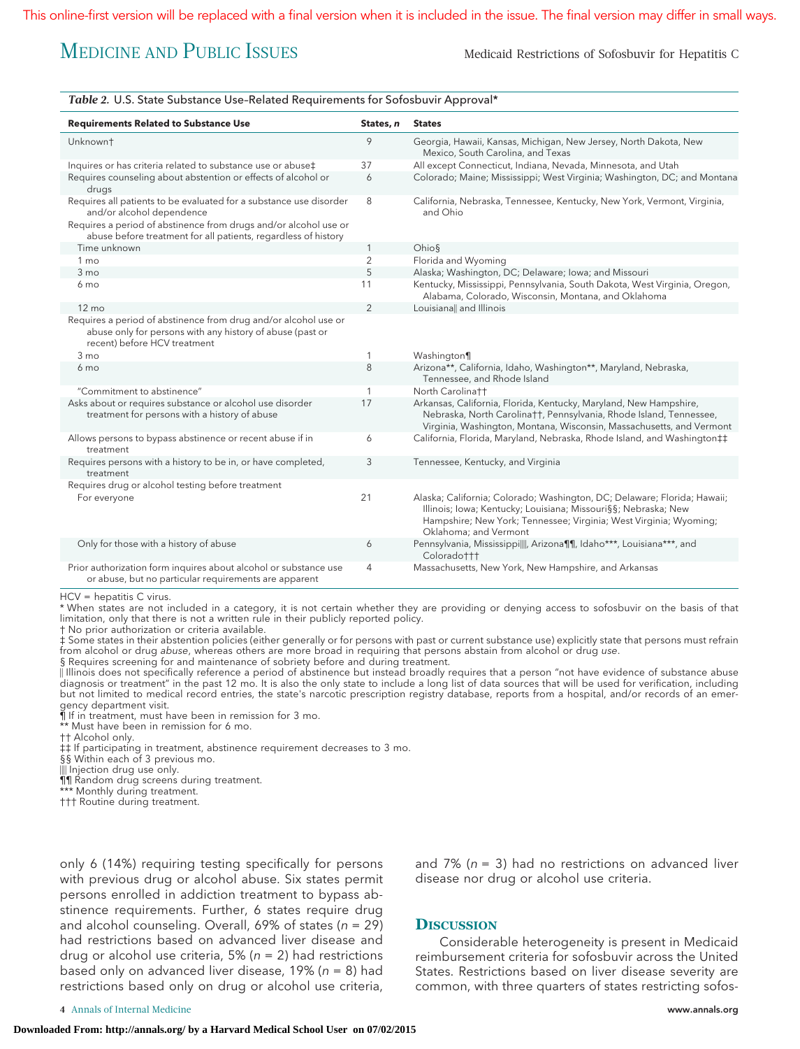| Table 2. U.S. State Substance Use-Related Requirements for Sofosbuvir Approval* |  |  |
|---------------------------------------------------------------------------------|--|--|
|---------------------------------------------------------------------------------|--|--|

| <b>Requirements Related to Substance Use</b>                                                                                                                                                                                          | States, n      | <b>States</b>                                                                                                                                                                                                                            |
|---------------------------------------------------------------------------------------------------------------------------------------------------------------------------------------------------------------------------------------|----------------|------------------------------------------------------------------------------------------------------------------------------------------------------------------------------------------------------------------------------------------|
| Unknown <sup>+</sup>                                                                                                                                                                                                                  | 9              | Georgia, Hawaii, Kansas, Michigan, New Jersey, North Dakota, New<br>Mexico, South Carolina, and Texas                                                                                                                                    |
| Inquires or has criteria related to substance use or abuse‡                                                                                                                                                                           | 37             | All except Connecticut, Indiana, Nevada, Minnesota, and Utah                                                                                                                                                                             |
| Requires counseling about abstention or effects of alcohol or<br>drugs                                                                                                                                                                | 6              | Colorado; Maine; Mississippi; West Virginia; Washington, DC; and Montana                                                                                                                                                                 |
| Requires all patients to be evaluated for a substance use disorder<br>and/or alcohol dependence<br>Requires a period of abstinence from drugs and/or alcohol use or<br>abuse before treatment for all patients, regardless of history | 8              | California, Nebraska, Tennessee, Kentucky, New York, Vermont, Virginia,<br>and Ohio                                                                                                                                                      |
| Time unknown                                                                                                                                                                                                                          | 1              | Ohio§                                                                                                                                                                                                                                    |
| 1 mo                                                                                                                                                                                                                                  | $\overline{2}$ | Florida and Wyoming                                                                                                                                                                                                                      |
| 3 <sub>mo</sub>                                                                                                                                                                                                                       | 5              | Alaska; Washington, DC; Delaware; Iowa; and Missouri                                                                                                                                                                                     |
| 6 mo                                                                                                                                                                                                                                  | 11             | Kentucky, Mississippi, Pennsylvania, South Dakota, West Virginia, Oregon,<br>Alabama, Colorado, Wisconsin, Montana, and Oklahoma                                                                                                         |
| $12 \text{ mo}$                                                                                                                                                                                                                       | $\overline{2}$ | Louisiana   and Illinois                                                                                                                                                                                                                 |
| Requires a period of abstinence from drug and/or alcohol use or<br>abuse only for persons with any history of abuse (past or<br>recent) before HCV treatment                                                                          |                |                                                                                                                                                                                                                                          |
| 3 mo                                                                                                                                                                                                                                  | 1              | Washington¶                                                                                                                                                                                                                              |
| 6 mo                                                                                                                                                                                                                                  | 8              | Arizona**, California, Idaho, Washington**, Maryland, Nebraska,<br>Tennessee, and Rhode Island                                                                                                                                           |
| "Commitment to abstinence"                                                                                                                                                                                                            | $\mathbf{1}$   | North Carolinatt                                                                                                                                                                                                                         |
| Asks about or requires substance or alcohol use disorder<br>treatment for persons with a history of abuse                                                                                                                             | 17             | Arkansas, California, Florida, Kentucky, Maryland, New Hampshire,<br>Nebraska, North Carolina††, Pennsylvania, Rhode Island, Tennessee,<br>Virginia, Washington, Montana, Wisconsin, Massachusetts, and Vermont                          |
| Allows persons to bypass abstinence or recent abuse if in<br>treatment                                                                                                                                                                | 6              | California, Florida, Maryland, Nebraska, Rhode Island, and Washington##                                                                                                                                                                  |
| Requires persons with a history to be in, or have completed,<br>treatment                                                                                                                                                             | 3              | Tennessee, Kentucky, and Virginia                                                                                                                                                                                                        |
| Requires drug or alcohol testing before treatment                                                                                                                                                                                     |                |                                                                                                                                                                                                                                          |
| For everyone                                                                                                                                                                                                                          | 21             | Alaska; California; Colorado; Washington, DC; Delaware; Florida; Hawaii;<br>Illinois; Iowa; Kentucky; Louisiana; Missouri§§; Nebraska; New<br>Hampshire; New York; Tennessee; Virginia; West Virginia; Wyoming;<br>Oklahoma; and Vermont |
| Only for those with a history of abuse                                                                                                                                                                                                | 6              | Pennsylvania, Mississippi   , Arizona¶¶, Idaho***, Louisiana***, and<br>Colorado†††                                                                                                                                                      |
| Prior authorization form inquires about alcohol or substance use<br>or abuse, but no particular requirements are apparent                                                                                                             | 4              | Massachusetts, New York, New Hampshire, and Arkansas                                                                                                                                                                                     |

HCV = hepatitis C virus.

\* When states are not included in a category, it is not certain whether they are providing or denying access to sofosbuvir on the basis of that limitation, only that there is not a written rule in their publicly reported policy.

† No prior authorization or criteria available.

‡ Some states in their abstention policies (either generally or for persons with past or current substance use) explicitly state that persons must refrain from alcohol or drug abuse, whereas others are more broad in requiring that persons abstain from alcohol or drug use.

§ Requires screening for and maintenance of sobriety before and during treatment.  $\|$ Illinois does not specifically reference a period of abstinence but instead broadly requires that a person "not have evidence of substance abuse diagnosis or treatment" in the past 12 mo. It is also the only state to include a long list of data sources that will be used for verification, including but not limited to medical record entries, the state's narcotic prescription registry database, reports from a hospital, and/or records of an emergency department visit.

¶ If in treatment, must have been in remission for 3 mo.

\*\* Must have been in remission for 6 mo.

†† Alcohol only.

‡‡ If participating in treatment, abstinence requirement decreases to 3 mo.

§§ Within each of 3 previous mo.

Injection drug use only.

¶¶ Random drug screens during treatment.

\*\*\* Monthly during treatment. ††† Routine during treatment.

only 6 (14%) requiring testing specifically for persons with previous drug or alcohol abuse. Six states permit persons enrolled in addiction treatment to bypass abstinence requirements. Further, 6 states require drug and alcohol counseling. Overall, 69% of states ( $n = 29$ ) had restrictions based on advanced liver disease and drug or alcohol use criteria, 5% ( $n = 2$ ) had restrictions based only on advanced liver disease,  $19\%$  ( $n = 8$ ) had restrictions based only on drug or alcohol use criteria,

and 7% ( $n = 3$ ) had no restrictions on advanced liver disease nor drug or alcohol use criteria.

### **DISCUSSION**

Considerable heterogeneity is present in Medicaid reimbursement criteria for sofosbuvir across the United States. Restrictions based on liver disease severity are common, with three quarters of states restricting sofos-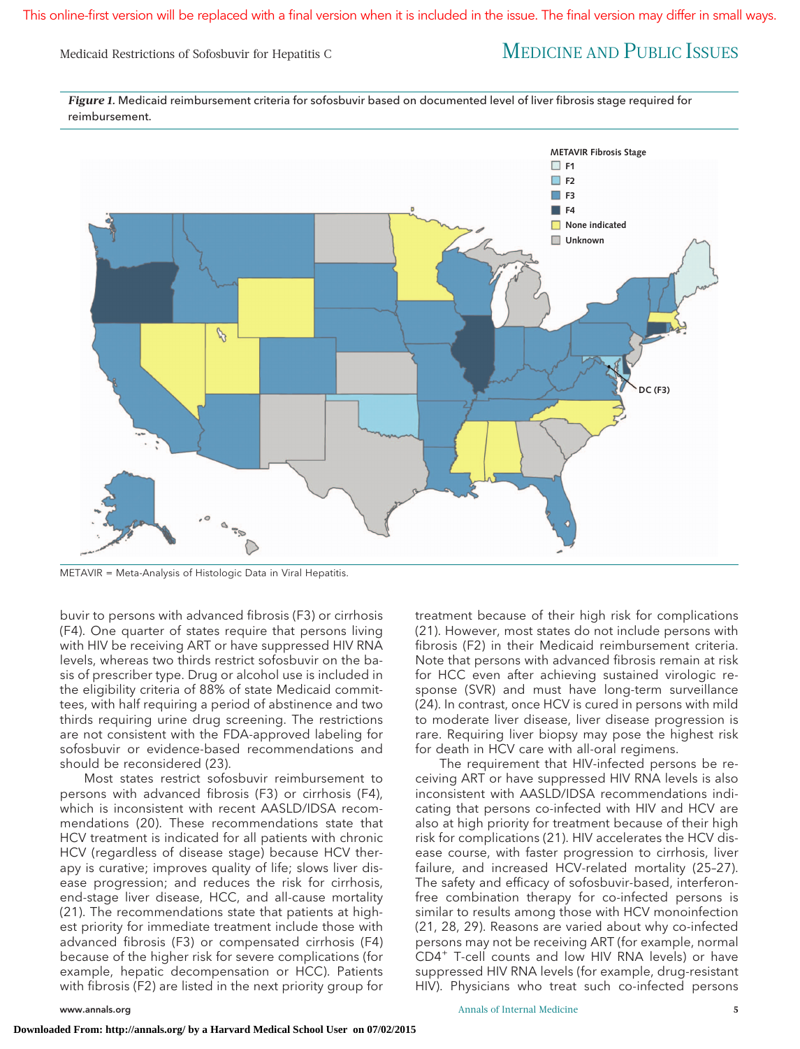*Figure 1.* Medicaid reimbursement criteria for sofosbuvir based on documented level of liver fibrosis stage required for reimbursement.



METAVIR = Meta-Analysis of Histologic Data in Viral Hepatitis.

buvir to persons with advanced fibrosis (F3) or cirrhosis (F4). One quarter of states require that persons living with HIV be receiving ART or have suppressed HIV RNA levels, whereas two thirds restrict sofosbuvir on the basis of prescriber type. Drug or alcohol use is included in the eligibility criteria of 88% of state Medicaid committees, with half requiring a period of abstinence and two thirds requiring urine drug screening. The restrictions are not consistent with the FDA-approved labeling for sofosbuvir or evidence-based recommendations and should be reconsidered (23).

Most states restrict sofosbuvir reimbursement to persons with advanced fibrosis (F3) or cirrhosis (F4), which is inconsistent with recent AASLD/IDSA recommendations (20). These recommendations state that HCV treatment is indicated for all patients with chronic HCV (regardless of disease stage) because HCV therapy is curative; improves quality of life; slows liver disease progression; and reduces the risk for cirrhosis, end-stage liver disease, HCC, and all-cause mortality (21). The recommendations state that patients at highest priority for immediate treatment include those with advanced fibrosis (F3) or compensated cirrhosis (F4) because of the higher risk for severe complications (for example, hepatic decompensation or HCC). Patients with fibrosis (F2) are listed in the next priority group for

treatment because of their high risk for complications (21). However, most states do not include persons with fibrosis (F2) in their Medicaid reimbursement criteria. Note that persons with advanced fibrosis remain at risk for HCC even after achieving sustained virologic response (SVR) and must have long-term surveillance (24). In contrast, once HCV is cured in persons with mild to moderate liver disease, liver disease progression is rare. Requiring liver biopsy may pose the highest risk for death in HCV care with all-oral regimens.

The requirement that HIV-infected persons be receiving ART or have suppressed HIV RNA levels is also inconsistent with AASLD/IDSA recommendations indicating that persons co-infected with HIV and HCV are also at high priority for treatment because of their high risk for complications (21). HIV accelerates the HCV disease course, with faster progression to cirrhosis, liver failure, and increased HCV-related mortality (25–27). The safety and efficacy of sofosbuvir-based, interferonfree combination therapy for co-infected persons is similar to results among those with HCV monoinfection (21, 28, 29). Reasons are varied about why co-infected persons may not be receiving ART (for example, normal CD4+ T-cell counts and low HIV RNA levels) or have suppressed HIV RNA levels (for example, drug-resistant HIV). Physicians who treat such co-infected persons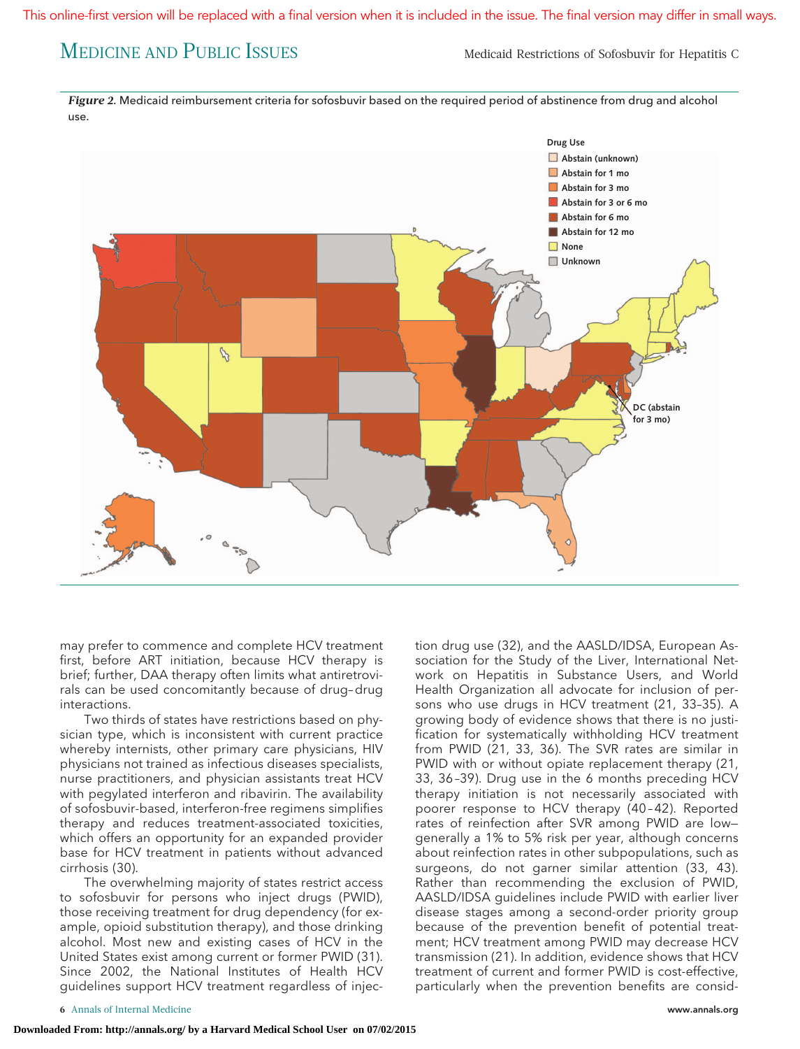*Figure 2.* Medicaid reimbursement criteria for sofosbuvir based on the required period of abstinence from drug and alcohol use.



may prefer to commence and complete HCV treatment first, before ART initiation, because HCV therapy is brief; further, DAA therapy often limits what antiretrovirals can be used concomitantly because of drug–drug interactions.

Two thirds of states have restrictions based on physician type, which is inconsistent with current practice whereby internists, other primary care physicians, HIV physicians not trained as infectious diseases specialists, nurse practitioners, and physician assistants treat HCV with pegylated interferon and ribavirin. The availability of sofosbuvir-based, interferon-free regimens simplifies therapy and reduces treatment-associated toxicities, which offers an opportunity for an expanded provider base for HCV treatment in patients without advanced cirrhosis (30).

The overwhelming majority of states restrict access to sofosbuvir for persons who inject drugs (PWID), those receiving treatment for drug dependency (for example, opioid substitution therapy), and those drinking alcohol. Most new and existing cases of HCV in the United States exist among current or former PWID (31). Since 2002, the National Institutes of Health HCV guidelines support HCV treatment regardless of injection drug use (32), and the AASLD/IDSA, European Association for the Study of the Liver, International Network on Hepatitis in Substance Users, and World Health Organization all advocate for inclusion of persons who use drugs in HCV treatment (21, 33–35). A growing body of evidence shows that there is no justification for systematically withholding HCV treatment from PWID (21, 33, 36). The SVR rates are similar in PWID with or without opiate replacement therapy (21, 33, 36 –39). Drug use in the 6 months preceding HCV therapy initiation is not necessarily associated with poorer response to HCV therapy (40-42). Reported rates of reinfection after SVR among PWID are low generally a 1% to 5% risk per year, although concerns about reinfection rates in other subpopulations, such as surgeons, do not garner similar attention (33, 43). Rather than recommending the exclusion of PWID, AASLD/IDSA guidelines include PWID with earlier liver disease stages among a second-order priority group because of the prevention benefit of potential treatment; HCV treatment among PWID may decrease HCV transmission (21). In addition, evidence shows that HCV treatment of current and former PWID is cost-effective, particularly when the prevention benefits are consid-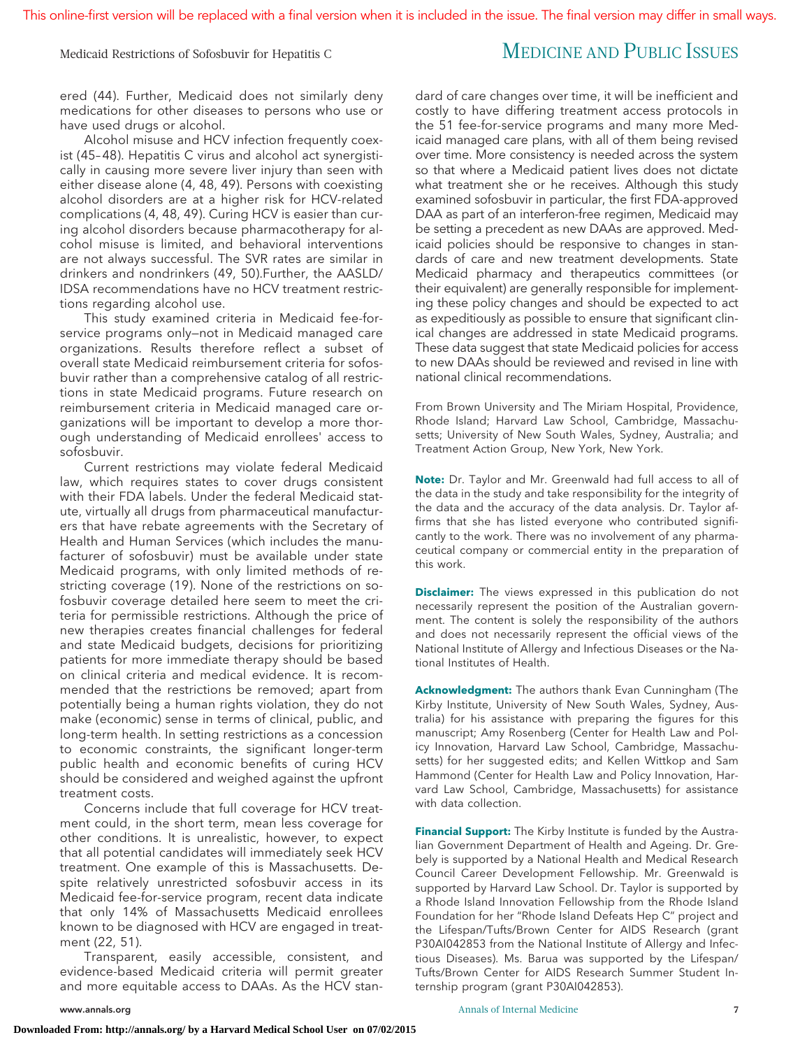ered (44). Further, Medicaid does not similarly deny medications for other diseases to persons who use or have used drugs or alcohol.

Alcohol misuse and HCV infection frequently coexist (45– 48). Hepatitis C virus and alcohol act synergistically in causing more severe liver injury than seen with either disease alone (4, 48, 49). Persons with coexisting alcohol disorders are at a higher risk for HCV-related complications (4, 48, 49). Curing HCV is easier than curing alcohol disorders because pharmacotherapy for alcohol misuse is limited, and behavioral interventions are not always successful. The SVR rates are similar in drinkers and nondrinkers (49, 50).Further, the AASLD/ IDSA recommendations have no HCV treatment restrictions regarding alcohol use.

This study examined criteria in Medicaid fee-forservice programs only—not in Medicaid managed care organizations. Results therefore reflect a subset of overall state Medicaid reimbursement criteria for sofosbuvir rather than a comprehensive catalog of all restrictions in state Medicaid programs. Future research on reimbursement criteria in Medicaid managed care organizations will be important to develop a more thorough understanding of Medicaid enrollees' access to sofosbuvir.

Current restrictions may violate federal Medicaid law, which requires states to cover drugs consistent with their FDA labels. Under the federal Medicaid statute, virtually all drugs from pharmaceutical manufacturers that have rebate agreements with the Secretary of Health and Human Services (which includes the manufacturer of sofosbuvir) must be available under state Medicaid programs, with only limited methods of restricting coverage (19). None of the restrictions on sofosbuvir coverage detailed here seem to meet the criteria for permissible restrictions. Although the price of new therapies creates financial challenges for federal and state Medicaid budgets, decisions for prioritizing patients for more immediate therapy should be based on clinical criteria and medical evidence. It is recommended that the restrictions be removed; apart from potentially being a human rights violation, they do not make (economic) sense in terms of clinical, public, and long-term health. In setting restrictions as a concession to economic constraints, the significant longer-term public health and economic benefits of curing HCV should be considered and weighed against the upfront treatment costs.

Concerns include that full coverage for HCV treatment could, in the short term, mean less coverage for other conditions. It is unrealistic, however, to expect that all potential candidates will immediately seek HCV treatment. One example of this is Massachusetts. Despite relatively unrestricted sofosbuvir access in its Medicaid fee-for-service program, recent data indicate that only 14% of Massachusetts Medicaid enrollees known to be diagnosed with HCV are engaged in treatment (22, 51).

Transparent, easily accessible, consistent, and evidence-based Medicaid criteria will permit greater and more equitable access to DAAs. As the HCV stan-

**Downloaded From: http://annals.org/ by a Harvard Medical School User on 07/02/2015**

dard of care changes over time, it will be inefficient and costly to have differing treatment access protocols in the 51 fee-for-service programs and many more Medicaid managed care plans, with all of them being revised over time. More consistency is needed across the system so that where a Medicaid patient lives does not dictate what treatment she or he receives. Although this study examined sofosbuvir in particular, the first FDA-approved DAA as part of an interferon-free regimen, Medicaid may be setting a precedent as new DAAs are approved. Medicaid policies should be responsive to changes in standards of care and new treatment developments. State Medicaid pharmacy and therapeutics committees (or their equivalent) are generally responsible for implementing these policy changes and should be expected to act as expeditiously as possible to ensure that significant clinical changes are addressed in state Medicaid programs. These data suggest that state Medicaid policies for access to new DAAs should be reviewed and revised in line with national clinical recommendations.

From Brown University and The Miriam Hospital, Providence, Rhode Island; Harvard Law School, Cambridge, Massachusetts; University of New South Wales, Sydney, Australia; and Treatment Action Group, New York, New York.

**Note:** Dr. Taylor and Mr. Greenwald had full access to all of the data in the study and take responsibility for the integrity of the data and the accuracy of the data analysis. Dr. Taylor affirms that she has listed everyone who contributed significantly to the work. There was no involvement of any pharmaceutical company or commercial entity in the preparation of this work.

**Disclaimer:** The views expressed in this publication do not necessarily represent the position of the Australian government. The content is solely the responsibility of the authors and does not necessarily represent the official views of the National Institute of Allergy and Infectious Diseases or the National Institutes of Health.

**Acknowledgment:** The authors thank Evan Cunningham (The Kirby Institute, University of New South Wales, Sydney, Australia) for his assistance with preparing the figures for this manuscript; Amy Rosenberg (Center for Health Law and Policy Innovation, Harvard Law School, Cambridge, Massachusetts) for her suggested edits; and Kellen Wittkop and Sam Hammond (Center for Health Law and Policy Innovation, Harvard Law School, Cambridge, Massachusetts) for assistance with data collection.

**Financial Support:** The Kirby Institute is funded by the Australian Government Department of Health and Ageing. Dr. Grebely is supported by a National Health and Medical Research Council Career Development Fellowship. Mr. Greenwald is supported by Harvard Law School. Dr. Taylor is supported by a Rhode Island Innovation Fellowship from the Rhode Island Foundation for her "Rhode Island Defeats Hep C" project and the Lifespan/Tufts/Brown Center for AIDS Research (grant P30AI042853 from the National Institute of Allergy and Infectious Diseases). Ms. Barua was supported by the Lifespan/ Tufts/Brown Center for AIDS Research Summer Student Internship program (grant P30AI042853).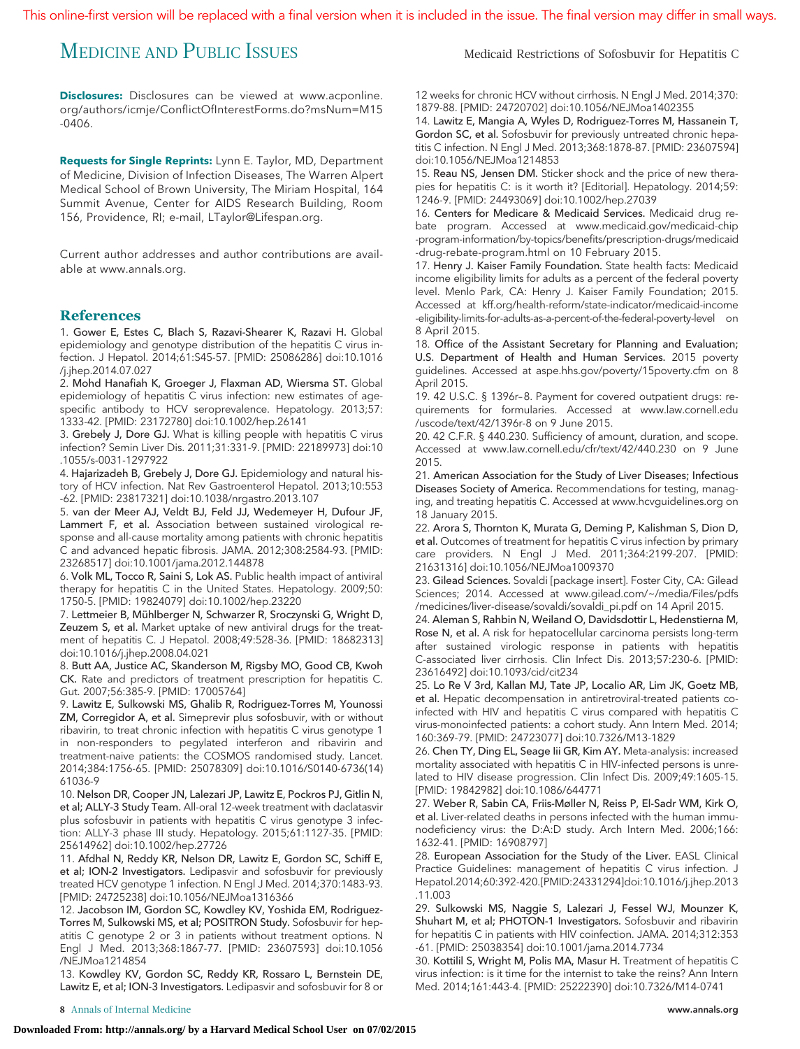**Disclosures:** Disclosures can be viewed at [www.acponline.](http://www.acponline.org/authors/icmje/ConflictOfInterestForms.do?msNum=M15-0406) [org/authors/icmje/ConflictOfInterestForms.do?msNum=M15](http://www.acponline.org/authors/icmje/ConflictOfInterestForms.do?msNum=M15-0406) [-0406.](http://www.acponline.org/authors/icmje/ConflictOfInterestForms.do?msNum=M15-0406)

**Requests for Single Reprints:** Lynn E. Taylor, MD, Department of Medicine, Division of Infection Diseases, The Warren Alpert Medical School of Brown University, The Miriam Hospital, 164 Summit Avenue, Center for AIDS Research Building, Room 156, Providence, RI; e-mail, [LTaylor@Lifespan.org.](mailto:LTaylor@Lifespan.org)

Current author addresses and author contributions are available at [www.annals.org.](http://www.annals.org)

### **References**

1. Gower E, Estes C, Blach S, Razavi-Shearer K, Razavi H. Global epidemiology and genotype distribution of the hepatitis C virus infection. J Hepatol. 2014;61:S45-57. [PMID: 25086286] doi:10.1016 /j.jhep.2014.07.027

2. Mohd Hanafiah K, Groeger J, Flaxman AD, Wiersma ST. Global epidemiology of hepatitis C virus infection: new estimates of agespecific antibody to HCV seroprevalence. Hepatology. 2013;57: 1333-42. [PMID: 23172780] doi:10.1002/hep.26141

3. Grebely J, Dore GJ. What is killing people with hepatitis C virus infection? Semin Liver Dis. 2011;31:331-9. [PMID: 22189973] doi:10 .1055/s-0031-1297922

4. Hajarizadeh B, Grebely J, Dore GJ. Epidemiology and natural history of HCV infection. Nat Rev Gastroenterol Hepatol. 2013;10:553 -62. [PMID: 23817321] doi:10.1038/nrgastro.2013.107

5. van der Meer AJ, Veldt BJ, Feld JJ, Wedemeyer H, Dufour JF, Lammert F, et al. Association between sustained virological response and all-cause mortality among patients with chronic hepatitis C and advanced hepatic fibrosis. JAMA. 2012;308:2584-93. [PMID: 23268517] doi:10.1001/jama.2012.144878

6. Volk ML, Tocco R, Saini S, Lok AS. Public health impact of antiviral therapy for hepatitis C in the United States. Hepatology. 2009;50: 1750-5. [PMID: 19824079] doi:10.1002/hep.23220

7. Lettmeier B, Mühlberger N, Schwarzer R, Sroczynski G, Wright D, Zeuzem S, et al. Market uptake of new antiviral drugs for the treatment of hepatitis C. J Hepatol. 2008;49:528-36. [PMID: 18682313] doi:10.1016/j.jhep.2008.04.021

8. Butt AA, Justice AC, Skanderson M, Rigsby MO, Good CB, Kwoh CK. Rate and predictors of treatment prescription for hepatitis C. Gut. 2007;56:385-9. [PMID: 17005764]

9. Lawitz E, Sulkowski MS, Ghalib R, Rodriguez-Torres M, Younossi ZM, Corregidor A, et al. Simeprevir plus sofosbuvir, with or without ribavirin, to treat chronic infection with hepatitis C virus genotype 1 in non-responders to pegylated interferon and ribavirin and treatment-naive patients: the COSMOS randomised study. Lancet. 2014;384:1756-65. [PMID: 25078309] doi:10.1016/S0140-6736(14) 61036-9

10. Nelson DR, Cooper JN, Lalezari JP, Lawitz E, Pockros PJ, Gitlin N, et al; ALLY-3 Study Team. All-oral 12-week treatment with daclatasvir plus sofosbuvir in patients with hepatitis C virus genotype 3 infection: ALLY-3 phase III study. Hepatology. 2015;61:1127-35. [PMID: 25614962] doi:10.1002/hep.27726

11. Afdhal N, Reddy KR, Nelson DR, Lawitz E, Gordon SC, Schiff E, et al; ION-2 Investigators. Ledipasvir and sofosbuvir for previously treated HCV genotype 1 infection. N Engl J Med. 2014;370:1483-93. [PMID: 24725238] doi:10.1056/NEJMoa1316366

12. Jacobson IM, Gordon SC, Kowdley KV, Yoshida EM, Rodriguez-Torres M, Sulkowski MS, et al; POSITRON Study. Sofosbuvir for hepatitis C genotype 2 or 3 in patients without treatment options. N Engl J Med. 2013;368:1867-77. [PMID: 23607593] doi:10.1056 /NEJMoa1214854

13. Kowdley KV, Gordon SC, Reddy KR, Rossaro L, Bernstein DE, Lawitz E, et al; ION-3 Investigators. Ledipasvir and sofosbuvir for 8 or 12 weeks for chronic HCV without cirrhosis. N Engl J Med. 2014;370: 1879-88. [PMID: 24720702] doi:10.1056/NEJMoa1402355

14. Lawitz E, Mangia A, Wyles D, Rodriguez-Torres M, Hassanein T, Gordon SC, et al. Sofosbuvir for previously untreated chronic hepatitis C infection. N Engl J Med. 2013;368:1878-87. [PMID: 23607594] doi:10.1056/NEJMoa1214853

15. Reau NS, Jensen DM. Sticker shock and the price of new therapies for hepatitis C: is it worth it? [Editorial]. Hepatology. 2014;59: 1246-9. [PMID: 24493069] doi:10.1002/hep.27039

16. Centers for Medicare & Medicaid Services. Medicaid drug rebate program. Accessed at [www.medicaid.gov/medicaid-chip](http://www.medicaid.gov/medicaid-chip-program-information/by-topics/benefits/prescription-drugs/medicaid-drug-rebate-program.html) [-program-information/by-topics/benefits/prescription-drugs/medicaid](http://www.medicaid.gov/medicaid-chip-program-information/by-topics/benefits/prescription-drugs/medicaid-drug-rebate-program.html) [-drug-rebate-program.html](http://www.medicaid.gov/medicaid-chip-program-information/by-topics/benefits/prescription-drugs/medicaid-drug-rebate-program.html) on 10 February 2015.

17. Henry J. Kaiser Family Foundation. State health facts: Medicaid income eligibility limits for adults as a percent of the federal poverty level. Menlo Park, CA: Henry J. Kaiser Family Foundation; 2015. Accessed at kff.org/health-reform/state-indicator/medicaid-income -eligibility-limits-for-adults-as-a-percent-of-the-federal-poverty-level on 8 April 2015.

18. Office of the Assistant Secretary for Planning and Evaluation; U.S. Department of Health and Human Services. 2015 poverty guidelines. Accessed at aspe.hhs.gov/poverty/15poverty.cfm on 8 April 2015.

19. 42 U.S.C. § 1396r–8. Payment for covered outpatient drugs: requirements for formularies. Accessed at [www.law.cornell.edu](http://www.law.cornell.edu/uscode/text/42/1396r-8) [/uscode/text/42/1396r-8](http://www.law.cornell.edu/uscode/text/42/1396r-8) on 9 June 2015.

20. 42 C.F.R. § 440.230. Sufficiency of amount, duration, and scope. Accessed at [www.law.cornell.edu/cfr/text/42/440.230](http://www.law.cornell.edu/cfr/text/42/440.230) on 9 June 2015.

21. American Association for the Study of Liver Diseases; Infectious Diseases Society of America. Recommendations for testing, managing, and treating hepatitis C. Accessed at [www.hcvguidelines.org](http://www.hcvguidelines.org) on 18 January 2015.

22. Arora S, Thornton K, Murata G, Deming P, Kalishman S, Dion D, et al. Outcomes of treatment for hepatitis C virus infection by primary care providers. N Engl J Med. 2011;364:2199-207. [PMID: 21631316] doi:10.1056/NEJMoa1009370

23. Gilead Sciences. Sovaldi [package insert]. Foster City, CA: Gilead Sciences; 2014. Accessed at [www.gilead.com/~/media/Files/pdfs](http://www.gilead.com/%7E/media/Files/pdfs/medicines/liver-disease/sovaldi/sovaldi_pi.pdf) [/medicines/liver-disease/sovaldi/sovaldi\\_pi.pdf](http://www.gilead.com/%7E/media/Files/pdfs/medicines/liver-disease/sovaldi/sovaldi_pi.pdf) on 14 April 2015.

24. Aleman S, Rahbin N, Weiland O, Davidsdottir L, Hedenstierna M, Rose N, et al. A risk for hepatocellular carcinoma persists long-term after sustained virologic response in patients with hepatitis C-associated liver cirrhosis. Clin Infect Dis. 2013;57:230-6. [PMID: 23616492] doi:10.1093/cid/cit234

25. Lo Re V 3rd, Kallan MJ, Tate JP, Localio AR, Lim JK, Goetz MB, et al. Hepatic decompensation in antiretroviral-treated patients coinfected with HIV and hepatitis C virus compared with hepatitis C virus-monoinfected patients: a cohort study. Ann Intern Med. 2014; 160:369-79. [PMID: 24723077] doi:10.7326/M13-1829

26. Chen TY, Ding EL, Seage Iii GR, Kim AY. Meta-analysis: increased mortality associated with hepatitis C in HIV-infected persons is unrelated to HIV disease progression. Clin Infect Dis. 2009;49:1605-15. [PMID: 19842982] doi:10.1086/644771

27. Weber R, Sabin CA, Friis-Møller N, Reiss P, El-Sadr WM, Kirk O, et al. Liver-related deaths in persons infected with the human immunodeficiency virus: the D:A:D study. Arch Intern Med. 2006;166: 1632-41. [PMID: 16908797]

28. European Association for the Study of the Liver. EASL Clinical Practice Guidelines: management of hepatitis C virus infection. J Hepatol.2014;60:392-420.[PMID:24331294]doi:10.1016/j.jhep.2013 .11.003

29. Sulkowski MS, Naggie S, Lalezari J, Fessel WJ, Mounzer K, Shuhart M, et al; PHOTON-1 Investigators. Sofosbuvir and ribavirin for hepatitis C in patients with HIV coinfection. JAMA. 2014;312:353 -61. [PMID: 25038354] doi:10.1001/jama.2014.7734

30. Kottilil S, Wright M, Polis MA, Masur H. Treatment of hepatitis C virus infection: is it time for the internist to take the reins? Ann Intern Med. 2014;161:443-4. [PMID: 25222390] doi:10.7326/M14-0741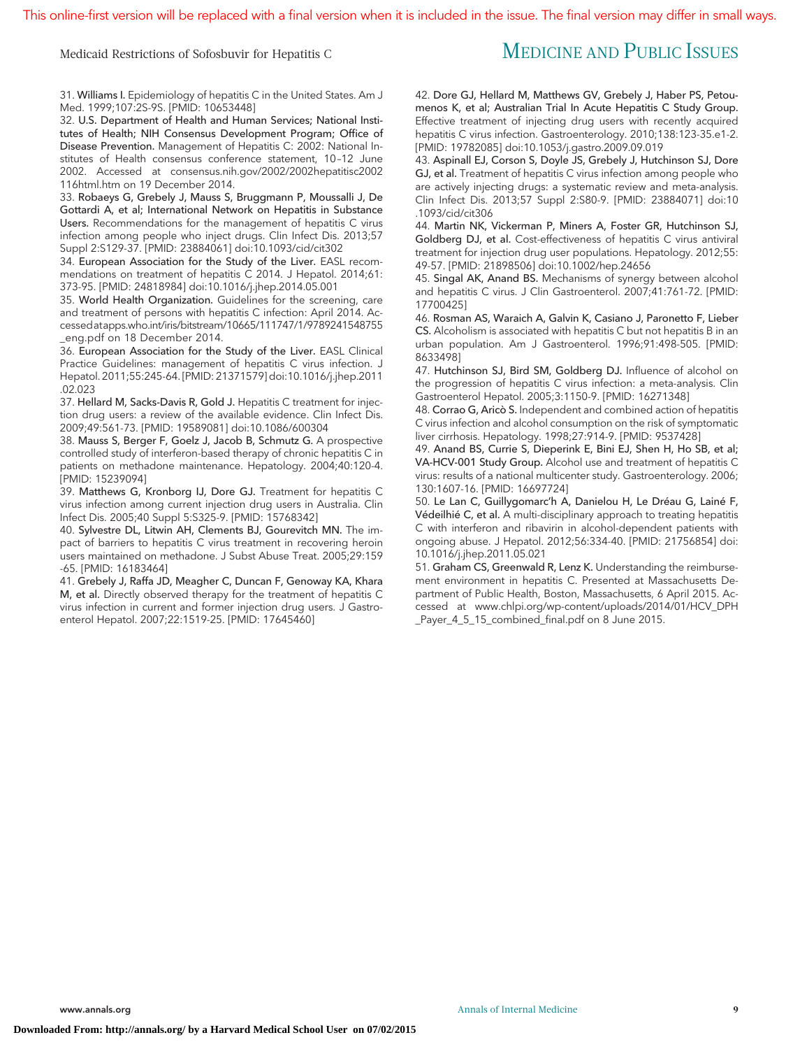31. Williams I. Epidemiology of hepatitis C in the United States. Am J Med. 1999;107:2S-9S. [PMID: 10653448]

32. U.S. Department of Health and Human Services; National Institutes of Health; NIH Consensus Development Program; Office of Disease Prevention. Management of Hepatitis C: 2002: National Institutes of Health consensus conference statement, 10 –12 June 2002. Accessed at consensus.nih.gov/2002/2002hepatitisc2002 116html.htm on 19 December 2014.

33. Robaeys G, Grebely J, Mauss S, Bruggmann P, Moussalli J, De Gottardi A, et al; International Network on Hepatitis in Substance Users. Recommendations for the management of hepatitis C virus infection among people who inject drugs. Clin Infect Dis. 2013;57 Suppl 2:S129-37. [PMID: 23884061] doi:10.1093/cid/cit302

34. European Association for the Study of the Liver. EASL recommendations on treatment of hepatitis C 2014. J Hepatol. 2014;61: 373-95. [PMID: 24818984] doi:10.1016/j.jhep.2014.05.001

35. World Health Organization. Guidelines for the screening, care and treatment of persons with hepatitis C infection: April 2014. Accessedatapps.who.int/iris/bitstream/10665/111747/1/9789241548755 \_eng.pdf on 18 December 2014.

36. European Association for the Study of the Liver. EASL Clinical Practice Guidelines: management of hepatitis C virus infection. J Hepatol. 2011;55:245-64. [PMID: 21371579] doi:10.1016/j.jhep.2011 .02.023

37. Hellard M, Sacks-Davis R, Gold J. Hepatitis C treatment for injection drug users: a review of the available evidence. Clin Infect Dis. 2009;49:561-73. [PMID: 19589081] doi:10.1086/600304

38. Mauss S, Berger F, Goelz J, Jacob B, Schmutz G. A prospective controlled study of interferon-based therapy of chronic hepatitis C in patients on methadone maintenance. Hepatology. 2004;40:120-4. [PMID: 15239094]

39. Matthews G, Kronborg IJ, Dore GJ. Treatment for hepatitis C virus infection among current injection drug users in Australia. Clin Infect Dis. 2005;40 Suppl 5:S325-9. [PMID: 15768342]

40. Sylvestre DL, Litwin AH, Clements BJ, Gourevitch MN. The impact of barriers to hepatitis C virus treatment in recovering heroin users maintained on methadone. J Subst Abuse Treat. 2005;29:159 -65. [PMID: 16183464]

41. Grebely J, Raffa JD, Meagher C, Duncan F, Genoway KA, Khara M, et al. Directly observed therapy for the treatment of hepatitis C virus infection in current and former injection drug users. J Gastroenterol Hepatol. 2007;22:1519-25. [PMID: 17645460]

42. Dore GJ, Hellard M, Matthews GV, Grebely J, Haber PS, Petoumenos K, et al; Australian Trial In Acute Hepatitis C Study Group. Effective treatment of injecting drug users with recently acquired hepatitis C virus infection. Gastroenterology. 2010;138:123-35.e1-2. [PMID: 19782085] doi:10.1053/j.gastro.2009.09.019

43. Aspinall EJ, Corson S, Doyle JS, Grebely J, Hutchinson SJ, Dore GJ, et al. Treatment of hepatitis C virus infection among people who are actively injecting drugs: a systematic review and meta-analysis. Clin Infect Dis. 2013;57 Suppl 2:S80-9. [PMID: 23884071] doi:10 .1093/cid/cit306

44. Martin NK, Vickerman P, Miners A, Foster GR, Hutchinson SJ, Goldberg DJ, et al. Cost-effectiveness of hepatitis C virus antiviral treatment for injection drug user populations. Hepatology. 2012;55: 49-57. [PMID: 21898506] doi:10.1002/hep.24656

45. Singal AK, Anand BS. Mechanisms of synergy between alcohol and hepatitis C virus. J Clin Gastroenterol. 2007;41:761-72. [PMID: 17700425]

46. Rosman AS, Waraich A, Galvin K, Casiano J, Paronetto F, Lieber CS. Alcoholism is associated with hepatitis C but not hepatitis B in an urban population. Am J Gastroenterol. 1996;91:498-505. [PMID: 8633498]

47. Hutchinson SJ, Bird SM, Goldberg DJ. Influence of alcohol on the progression of hepatitis C virus infection: a meta-analysis. Clin Gastroenterol Hepatol. 2005;3:1150-9. [PMID: 16271348]

48. Corrao G, Aricò S. Independent and combined action of hepatitis C virus infection and alcohol consumption on the risk of symptomatic liver cirrhosis. Hepatology. 1998;27:914-9. [PMID: 9537428]

49. Anand BS, Currie S, Dieperink E, Bini EJ, Shen H, Ho SB, et al; VA-HCV-001 Study Group. Alcohol use and treatment of hepatitis C virus: results of a national multicenter study. Gastroenterology. 2006; 130:1607-16. [PMID: 16697724]

50. Le Lan C, Guillygomarc'h A, Danielou H, Le Dréau G, Lainé F, Védeilhié C, et al. A multi-disciplinary approach to treating hepatitis C with interferon and ribavirin in alcohol-dependent patients with ongoing abuse. J Hepatol. 2012;56:334-40. [PMID: 21756854] doi: 10.1016/j.jhep.2011.05.021

51. Graham CS, Greenwald R, Lenz K. Understanding the reimbursement environment in hepatitis C. Presented at Massachusetts Department of Public Health, Boston, Massachusetts, 6 April 2015. Accessed at [www.chlpi.org/wp-content/uploads/2014/01/HCV\\_DPH](http://www.chlpi.org/wp-content/uploads/2014/01/HCV_DPH_Payer_4_5_15_combined_final.pdf) [\\_Payer\\_4\\_5\\_15\\_combined\\_final.pdf](http://www.chlpi.org/wp-content/uploads/2014/01/HCV_DPH_Payer_4_5_15_combined_final.pdf) on 8 June 2015.